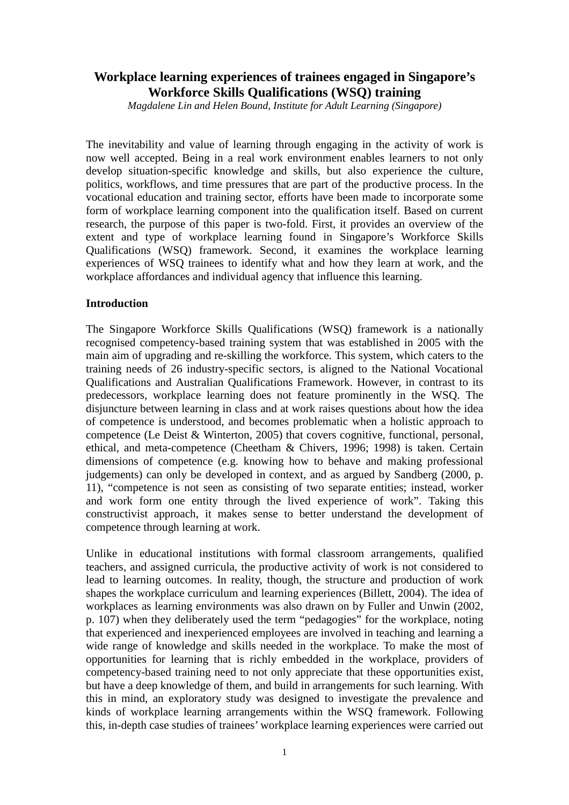# **Workplace learning experiences of trainees engaged in Singapore's Workforce Skills Qualifications (WSQ) training**

*Magdalene Lin and Helen Bound, Institute for Adult Learning (Singapore)* 

The inevitability and value of learning through engaging in the activity of work is now well accepted. Being in a real work environment enables learners to not only develop situation-specific knowledge and skills, but also experience the culture, politics, workflows, and time pressures that are part of the productive process. In the vocational education and training sector, efforts have been made to incorporate some form of workplace learning component into the qualification itself. Based on current research, the purpose of this paper is two-fold. First, it provides an overview of the extent and type of workplace learning found in Singapore's Workforce Skills Qualifications (WSQ) framework. Second, it examines the workplace learning experiences of WSQ trainees to identify what and how they learn at work, and the workplace affordances and individual agency that influence this learning.

### **Introduction**

The Singapore Workforce Skills Qualifications (WSQ) framework is a nationally recognised competency-based training system that was established in 2005 with the main aim of upgrading and re-skilling the workforce. This system, which caters to the training needs of 26 industry-specific sectors, is aligned to the National Vocational Qualifications and Australian Qualifications Framework. However, in contrast to its predecessors, workplace learning does not feature prominently in the WSQ. The disjuncture between learning in class and at work raises questions about how the idea of competence is understood, and becomes problematic when a holistic approach to competence (Le Deist & Winterton, 2005) that covers cognitive, functional, personal, ethical, and meta-competence (Cheetham & Chivers, 1996; 1998) is taken. Certain dimensions of competence (e.g. knowing how to behave and making professional judgements) can only be developed in context, and as argued by Sandberg (2000, p. 11), "competence is not seen as consisting of two separate entities; instead, worker and work form one entity through the lived experience of work". Taking this constructivist approach, it makes sense to better understand the development of competence through learning at work.

Unlike in educational institutions with formal classroom arrangements, qualified teachers, and assigned curricula, the productive activity of work is not considered to lead to learning outcomes. In reality, though, the structure and production of work shapes the workplace curriculum and learning experiences (Billett, 2004). The idea of workplaces as learning environments was also drawn on by Fuller and Unwin (2002, p. 107) when they deliberately used the term "pedagogies" for the workplace, noting that experienced and inexperienced employees are involved in teaching and learning a wide range of knowledge and skills needed in the workplace. To make the most of opportunities for learning that is richly embedded in the workplace, providers of competency-based training need to not only appreciate that these opportunities exist, but have a deep knowledge of them, and build in arrangements for such learning. With this in mind, an exploratory study was designed to investigate the prevalence and kinds of workplace learning arrangements within the WSQ framework. Following this, in-depth case studies of trainees' workplace learning experiences were carried out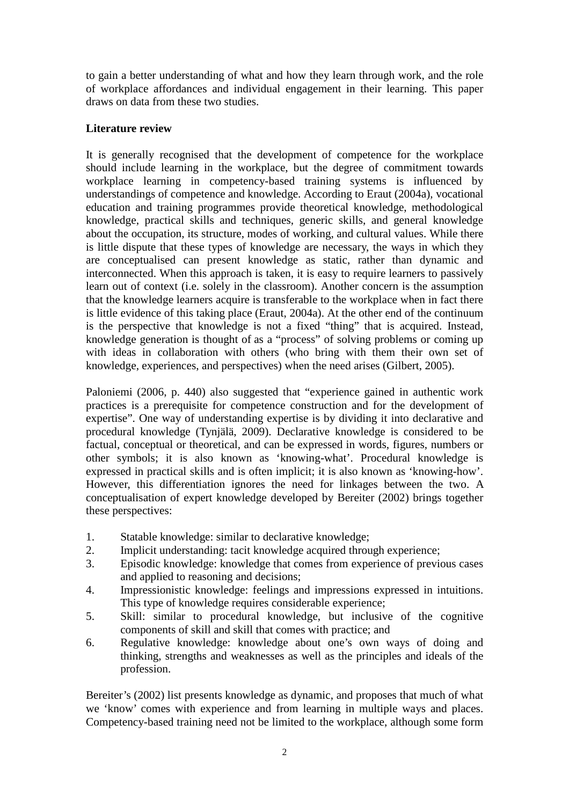to gain a better understanding of what and how they learn through work, and the role of workplace affordances and individual engagement in their learning. This paper draws on data from these two studies.

# **Literature review**

It is generally recognised that the development of competence for the workplace should include learning in the workplace, but the degree of commitment towards workplace learning in competency-based training systems is influenced by understandings of competence and knowledge. According to Eraut (2004a), vocational education and training programmes provide theoretical knowledge, methodological knowledge, practical skills and techniques, generic skills, and general knowledge about the occupation, its structure, modes of working, and cultural values. While there is little dispute that these types of knowledge are necessary, the ways in which they are conceptualised can present knowledge as static, rather than dynamic and interconnected. When this approach is taken, it is easy to require learners to passively learn out of context (i.e. solely in the classroom). Another concern is the assumption that the knowledge learners acquire is transferable to the workplace when in fact there is little evidence of this taking place (Eraut, 2004a). At the other end of the continuum is the perspective that knowledge is not a fixed "thing" that is acquired. Instead, knowledge generation is thought of as a "process" of solving problems or coming up with ideas in collaboration with others (who bring with them their own set of knowledge, experiences, and perspectives) when the need arises (Gilbert, 2005).

Paloniemi (2006, p. 440) also suggested that "experience gained in authentic work practices is a prerequisite for competence construction and for the development of expertise". One way of understanding expertise is by dividing it into declarative and procedural knowledge (Tynjälä, 2009). Declarative knowledge is considered to be factual, conceptual or theoretical, and can be expressed in words, figures, numbers or other symbols; it is also known as 'knowing-what'. Procedural knowledge is expressed in practical skills and is often implicit; it is also known as 'knowing-how'. However, this differentiation ignores the need for linkages between the two. A conceptualisation of expert knowledge developed by Bereiter (2002) brings together these perspectives:

- 1. Statable knowledge: similar to declarative knowledge;
- 2. Implicit understanding: tacit knowledge acquired through experience;<br>
Spisodic knowledge: knowledge that comes from experience of previo
- 3. Episodic knowledge: knowledge that comes from experience of previous cases and applied to reasoning and decisions;
- 4. Impressionistic knowledge: feelings and impressions expressed in intuitions. This type of knowledge requires considerable experience;
- 5. Skill: similar to procedural knowledge, but inclusive of the cognitive components of skill and skill that comes with practice; and
- 6. Regulative knowledge: knowledge about one's own ways of doing and thinking, strengths and weaknesses as well as the principles and ideals of the profession.

Bereiter's (2002) list presents knowledge as dynamic, and proposes that much of what we 'know' comes with experience and from learning in multiple ways and places. Competency-based training need not be limited to the workplace, although some form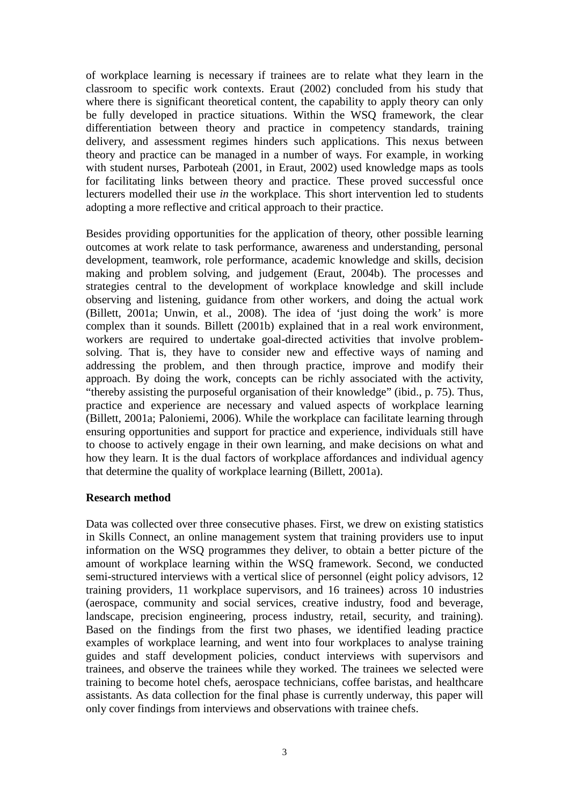of workplace learning is necessary if trainees are to relate what they learn in the classroom to specific work contexts. Eraut (2002) concluded from his study that where there is significant theoretical content, the capability to apply theory can only be fully developed in practice situations. Within the WSQ framework, the clear differentiation between theory and practice in competency standards, training delivery, and assessment regimes hinders such applications. This nexus between theory and practice can be managed in a number of ways. For example, in working with student nurses, Parboteah (2001, in Eraut, 2002) used knowledge maps as tools for facilitating links between theory and practice. These proved successful once lecturers modelled their use *in* the workplace. This short intervention led to students adopting a more reflective and critical approach to their practice.

Besides providing opportunities for the application of theory, other possible learning outcomes at work relate to task performance, awareness and understanding, personal development, teamwork, role performance, academic knowledge and skills, decision making and problem solving, and judgement (Eraut, 2004b). The processes and strategies central to the development of workplace knowledge and skill include observing and listening, guidance from other workers, and doing the actual work (Billett, 2001a; Unwin, et al., 2008). The idea of 'just doing the work' is more complex than it sounds. Billett (2001b) explained that in a real work environment, workers are required to undertake goal-directed activities that involve problemsolving. That is, they have to consider new and effective ways of naming and addressing the problem, and then through practice, improve and modify their approach. By doing the work, concepts can be richly associated with the activity, "thereby assisting the purposeful organisation of their knowledge" (ibid., p. 75). Thus, practice and experience are necessary and valued aspects of workplace learning (Billett, 2001a; Paloniemi, 2006). While the workplace can facilitate learning through ensuring opportunities and support for practice and experience, individuals still have to choose to actively engage in their own learning, and make decisions on what and how they learn. It is the dual factors of workplace affordances and individual agency that determine the quality of workplace learning (Billett, 2001a).

### **Research method**

Data was collected over three consecutive phases. First, we drew on existing statistics in Skills Connect, an online management system that training providers use to input information on the WSQ programmes they deliver, to obtain a better picture of the amount of workplace learning within the WSQ framework. Second, we conducted semi-structured interviews with a vertical slice of personnel (eight policy advisors, 12 training providers, 11 workplace supervisors, and 16 trainees) across 10 industries (aerospace, community and social services, creative industry, food and beverage, landscape, precision engineering, process industry, retail, security, and training). Based on the findings from the first two phases, we identified leading practice examples of workplace learning, and went into four workplaces to analyse training guides and staff development policies, conduct interviews with supervisors and trainees, and observe the trainees while they worked. The trainees we selected were training to become hotel chefs, aerospace technicians, coffee baristas, and healthcare assistants. As data collection for the final phase is currently underway, this paper will only cover findings from interviews and observations with trainee chefs.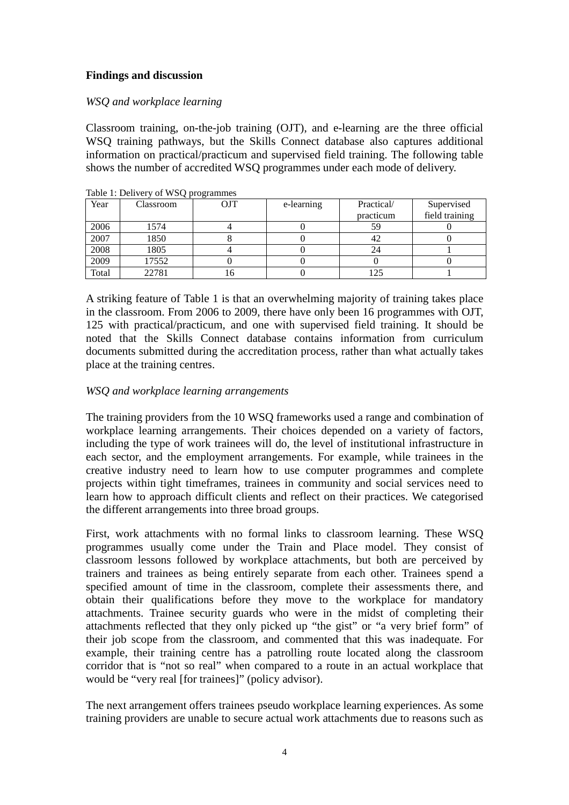# **Findings and discussion**

# *WSQ and workplace learning*

Classroom training, on-the-job training (OJT), and e-learning are the three official WSQ training pathways, but the Skills Connect database also captures additional information on practical/practicum and supervised field training. The following table shows the number of accredited WSQ programmes under each mode of delivery.

| Year  | Classroom | OJT | e-learning | Practical/ | Supervised     |
|-------|-----------|-----|------------|------------|----------------|
|       |           |     |            | practicum  | field training |
| 2006  | 1574      |     |            | 59         |                |
| 2007  | 1850      |     |            | 42         |                |
| 2008  | 1805      |     |            | 24         |                |
| 2009  | 17552     |     |            |            |                |
| Total | 22781     |     |            |            |                |

Table 1: Delivery of WSQ programmes

A striking feature of Table 1 is that an overwhelming majority of training takes place in the classroom. From 2006 to 2009, there have only been 16 programmes with OJT, 125 with practical/practicum, and one with supervised field training. It should be noted that the Skills Connect database contains information from curriculum documents submitted during the accreditation process, rather than what actually takes place at the training centres.

# *WSQ and workplace learning arrangements*

The training providers from the 10 WSQ frameworks used a range and combination of workplace learning arrangements. Their choices depended on a variety of factors, including the type of work trainees will do, the level of institutional infrastructure in each sector, and the employment arrangements. For example, while trainees in the creative industry need to learn how to use computer programmes and complete projects within tight timeframes, trainees in community and social services need to learn how to approach difficult clients and reflect on their practices. We categorised the different arrangements into three broad groups.

First, work attachments with no formal links to classroom learning. These WSQ programmes usually come under the Train and Place model. They consist of classroom lessons followed by workplace attachments, but both are perceived by trainers and trainees as being entirely separate from each other. Trainees spend a specified amount of time in the classroom, complete their assessments there, and obtain their qualifications before they move to the workplace for mandatory attachments. Trainee security guards who were in the midst of completing their attachments reflected that they only picked up "the gist" or "a very brief form" of their job scope from the classroom, and commented that this was inadequate. For example, their training centre has a patrolling route located along the classroom corridor that is "not so real" when compared to a route in an actual workplace that would be "very real [for trainees]" (policy advisor).

The next arrangement offers trainees pseudo workplace learning experiences. As some training providers are unable to secure actual work attachments due to reasons such as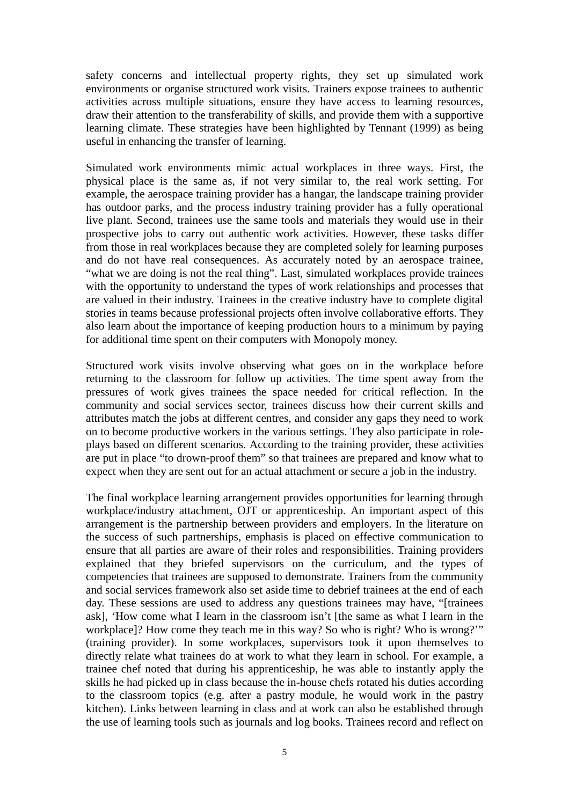safety concerns and intellectual property rights, they set up simulated work environments or organise structured work visits. Trainers expose trainees to authentic activities across multiple situations, ensure they have access to learning resources, draw their attention to the transferability of skills, and provide them with a supportive learning climate. These strategies have been highlighted by Tennant (1999) as being useful in enhancing the transfer of learning.

Simulated work environments mimic actual workplaces in three ways. First, the physical place is the same as, if not very similar to, the real work setting. For example, the aerospace training provider has a hangar, the landscape training provider has outdoor parks, and the process industry training provider has a fully operational live plant. Second, trainees use the same tools and materials they would use in their prospective jobs to carry out authentic work activities. However, these tasks differ from those in real workplaces because they are completed solely for learning purposes and do not have real consequences. As accurately noted by an aerospace trainee, "what we are doing is not the real thing". Last, simulated workplaces provide trainees with the opportunity to understand the types of work relationships and processes that are valued in their industry. Trainees in the creative industry have to complete digital stories in teams because professional projects often involve collaborative efforts. They also learn about the importance of keeping production hours to a minimum by paying for additional time spent on their computers with Monopoly money.

Structured work visits involve observing what goes on in the workplace before returning to the classroom for follow up activities. The time spent away from the pressures of work gives trainees the space needed for critical reflection. In the community and social services sector, trainees discuss how their current skills and attributes match the jobs at different centres, and consider any gaps they need to work on to become productive workers in the various settings. They also participate in roleplays based on different scenarios. According to the training provider, these activities are put in place "to drown-proof them" so that trainees are prepared and know what to expect when they are sent out for an actual attachment or secure a job in the industry.

The final workplace learning arrangement provides opportunities for learning through workplace/industry attachment, OJT or apprenticeship. An important aspect of this arrangement is the partnership between providers and employers. In the literature on the success of such partnerships, emphasis is placed on effective communication to ensure that all parties are aware of their roles and responsibilities. Training providers explained that they briefed supervisors on the curriculum, and the types of competencies that trainees are supposed to demonstrate. Trainers from the community and social services framework also set aside time to debrief trainees at the end of each day. These sessions are used to address any questions trainees may have, "[trainees ask], 'How come what I learn in the classroom isn't [the same as what I learn in the workplace]? How come they teach me in this way? So who is right? Who is wrong?'" (training provider). In some workplaces, supervisors took it upon themselves to directly relate what trainees do at work to what they learn in school. For example, a trainee chef noted that during his apprenticeship, he was able to instantly apply the skills he had picked up in class because the in-house chefs rotated his duties according to the classroom topics (e.g. after a pastry module, he would work in the pastry kitchen). Links between learning in class and at work can also be established through the use of learning tools such as journals and log books. Trainees record and reflect on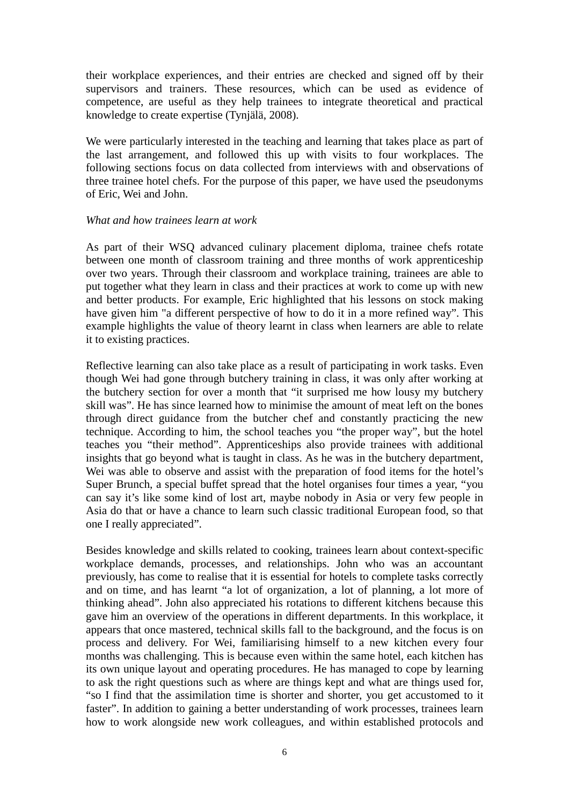their workplace experiences, and their entries are checked and signed off by their supervisors and trainers. These resources, which can be used as evidence of competence, are useful as they help trainees to integrate theoretical and practical knowledge to create expertise (Tynjälä, 2008).

We were particularly interested in the teaching and learning that takes place as part of the last arrangement, and followed this up with visits to four workplaces. The following sections focus on data collected from interviews with and observations of three trainee hotel chefs. For the purpose of this paper, we have used the pseudonyms of Eric, Wei and John.

#### *What and how trainees learn at work*

As part of their WSQ advanced culinary placement diploma, trainee chefs rotate between one month of classroom training and three months of work apprenticeship over two years. Through their classroom and workplace training, trainees are able to put together what they learn in class and their practices at work to come up with new and better products. For example, Eric highlighted that his lessons on stock making have given him "a different perspective of how to do it in a more refined way". This example highlights the value of theory learnt in class when learners are able to relate it to existing practices.

Reflective learning can also take place as a result of participating in work tasks. Even though Wei had gone through butchery training in class, it was only after working at the butchery section for over a month that "it surprised me how lousy my butchery skill was". He has since learned how to minimise the amount of meat left on the bones through direct guidance from the butcher chef and constantly practicing the new technique. According to him, the school teaches you "the proper way", but the hotel teaches you "their method". Apprenticeships also provide trainees with additional insights that go beyond what is taught in class. As he was in the butchery department, Wei was able to observe and assist with the preparation of food items for the hotel's Super Brunch, a special buffet spread that the hotel organises four times a year, "you can say it's like some kind of lost art, maybe nobody in Asia or very few people in Asia do that or have a chance to learn such classic traditional European food, so that one I really appreciated".

Besides knowledge and skills related to cooking, trainees learn about context-specific workplace demands, processes, and relationships. John who was an accountant previously, has come to realise that it is essential for hotels to complete tasks correctly and on time, and has learnt "a lot of organization, a lot of planning, a lot more of thinking ahead". John also appreciated his rotations to different kitchens because this gave him an overview of the operations in different departments. In this workplace, it appears that once mastered, technical skills fall to the background, and the focus is on process and delivery. For Wei, familiarising himself to a new kitchen every four months was challenging. This is because even within the same hotel, each kitchen has its own unique layout and operating procedures. He has managed to cope by learning to ask the right questions such as where are things kept and what are things used for, "so I find that the assimilation time is shorter and shorter, you get accustomed to it faster". In addition to gaining a better understanding of work processes, trainees learn how to work alongside new work colleagues, and within established protocols and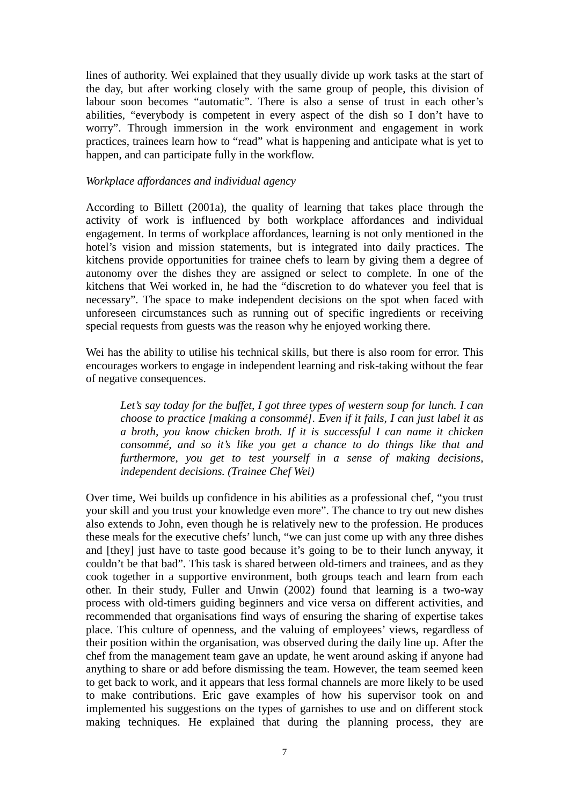lines of authority. Wei explained that they usually divide up work tasks at the start of the day, but after working closely with the same group of people, this division of labour soon becomes "automatic". There is also a sense of trust in each other's abilities, "everybody is competent in every aspect of the dish so I don't have to worry". Through immersion in the work environment and engagement in work practices, trainees learn how to "read" what is happening and anticipate what is yet to happen, and can participate fully in the workflow.

#### *Workplace affordances and individual agency*

According to Billett (2001a), the quality of learning that takes place through the activity of work is influenced by both workplace affordances and individual engagement. In terms of workplace affordances, learning is not only mentioned in the hotel's vision and mission statements, but is integrated into daily practices. The kitchens provide opportunities for trainee chefs to learn by giving them a degree of autonomy over the dishes they are assigned or select to complete. In one of the kitchens that Wei worked in, he had the "discretion to do whatever you feel that is necessary". The space to make independent decisions on the spot when faced with unforeseen circumstances such as running out of specific ingredients or receiving special requests from guests was the reason why he enjoyed working there.

Wei has the ability to utilise his technical skills, but there is also room for error. This encourages workers to engage in independent learning and risk-taking without the fear of negative consequences.

 *Let's say today for the buffet, I got three types of western soup for lunch. I can choose to practice [making a consommé]. Even if it fails, I can just label it as a broth, you know chicken broth. If it is successful I can name it chicken consommé, and so it's like you get a chance to do things like that and furthermore, you get to test yourself in a sense of making decisions, independent decisions. (Trainee Chef Wei)*

Over time, Wei builds up confidence in his abilities as a professional chef, "you trust your skill and you trust your knowledge even more". The chance to try out new dishes also extends to John, even though he is relatively new to the profession. He produces these meals for the executive chefs' lunch, "we can just come up with any three dishes and [they] just have to taste good because it's going to be to their lunch anyway, it couldn't be that bad". This task is shared between old-timers and trainees, and as they cook together in a supportive environment, both groups teach and learn from each other. In their study, Fuller and Unwin (2002) found that learning is a two-way process with old-timers guiding beginners and vice versa on different activities, and recommended that organisations find ways of ensuring the sharing of expertise takes place. This culture of openness, and the valuing of employees' views, regardless of their position within the organisation, was observed during the daily line up. After the chef from the management team gave an update, he went around asking if anyone had anything to share or add before dismissing the team. However, the team seemed keen to get back to work, and it appears that less formal channels are more likely to be used to make contributions. Eric gave examples of how his supervisor took on and implemented his suggestions on the types of garnishes to use and on different stock making techniques. He explained that during the planning process, they are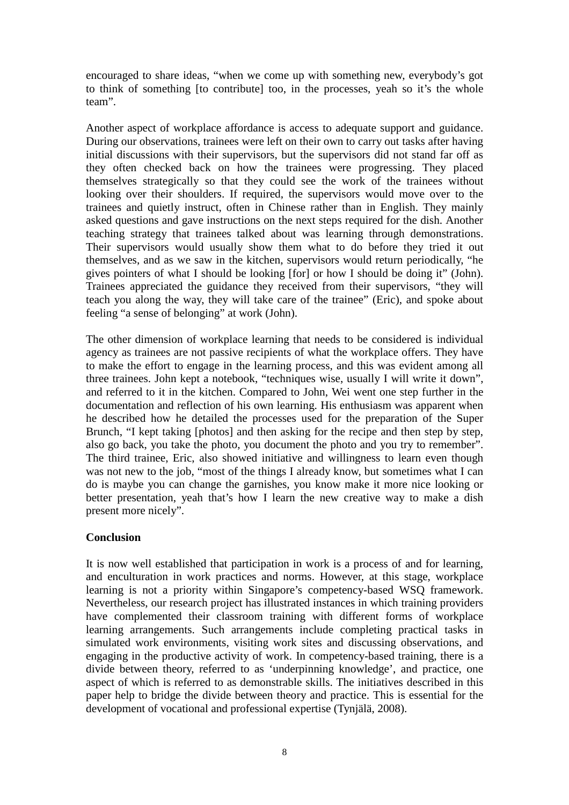encouraged to share ideas, "when we come up with something new, everybody's got to think of something [to contribute] too, in the processes, yeah so it's the whole team".

Another aspect of workplace affordance is access to adequate support and guidance. During our observations, trainees were left on their own to carry out tasks after having initial discussions with their supervisors, but the supervisors did not stand far off as they often checked back on how the trainees were progressing. They placed themselves strategically so that they could see the work of the trainees without looking over their shoulders. If required, the supervisors would move over to the trainees and quietly instruct, often in Chinese rather than in English. They mainly asked questions and gave instructions on the next steps required for the dish. Another teaching strategy that trainees talked about was learning through demonstrations. Their supervisors would usually show them what to do before they tried it out themselves, and as we saw in the kitchen, supervisors would return periodically, "he gives pointers of what I should be looking [for] or how I should be doing it" (John). Trainees appreciated the guidance they received from their supervisors, "they will teach you along the way, they will take care of the trainee" (Eric), and spoke about feeling "a sense of belonging" at work (John).

The other dimension of workplace learning that needs to be considered is individual agency as trainees are not passive recipients of what the workplace offers. They have to make the effort to engage in the learning process, and this was evident among all three trainees. John kept a notebook, "techniques wise, usually I will write it down", and referred to it in the kitchen. Compared to John, Wei went one step further in the documentation and reflection of his own learning. His enthusiasm was apparent when he described how he detailed the processes used for the preparation of the Super Brunch, "I kept taking [photos] and then asking for the recipe and then step by step, also go back, you take the photo, you document the photo and you try to remember". The third trainee, Eric, also showed initiative and willingness to learn even though was not new to the job, "most of the things I already know, but sometimes what I can do is maybe you can change the garnishes, you know make it more nice looking or better presentation, yeah that's how I learn the new creative way to make a dish present more nicely".

### **Conclusion**

It is now well established that participation in work is a process of and for learning, and enculturation in work practices and norms. However, at this stage, workplace learning is not a priority within Singapore's competency-based WSQ framework. Nevertheless, our research project has illustrated instances in which training providers have complemented their classroom training with different forms of workplace learning arrangements. Such arrangements include completing practical tasks in simulated work environments, visiting work sites and discussing observations, and engaging in the productive activity of work. In competency-based training, there is a divide between theory, referred to as 'underpinning knowledge', and practice, one aspect of which is referred to as demonstrable skills. The initiatives described in this paper help to bridge the divide between theory and practice. This is essential for the development of vocational and professional expertise (Tynjälä, 2008).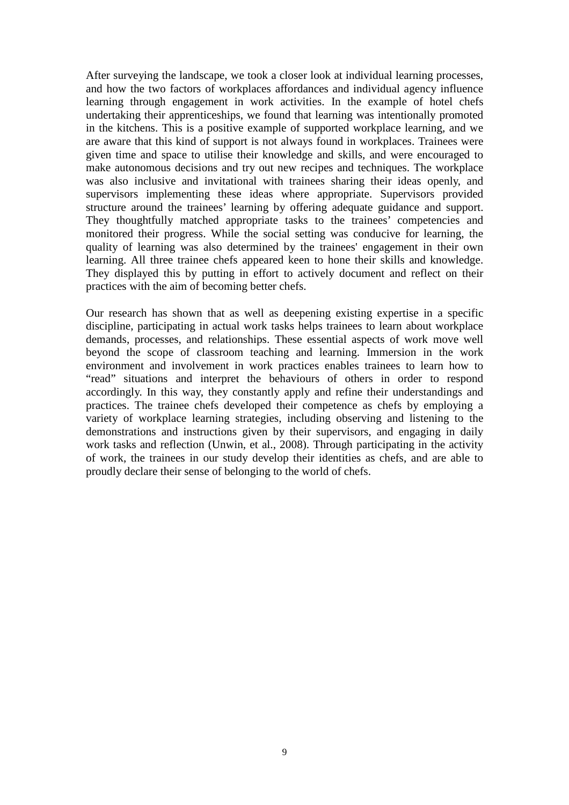After surveying the landscape, we took a closer look at individual learning processes, and how the two factors of workplaces affordances and individual agency influence learning through engagement in work activities. In the example of hotel chefs undertaking their apprenticeships, we found that learning was intentionally promoted in the kitchens. This is a positive example of supported workplace learning, and we are aware that this kind of support is not always found in workplaces. Trainees were given time and space to utilise their knowledge and skills, and were encouraged to make autonomous decisions and try out new recipes and techniques. The workplace was also inclusive and invitational with trainees sharing their ideas openly, and supervisors implementing these ideas where appropriate. Supervisors provided structure around the trainees' learning by offering adequate guidance and support. They thoughtfully matched appropriate tasks to the trainees' competencies and monitored their progress. While the social setting was conducive for learning, the quality of learning was also determined by the trainees' engagement in their own learning. All three trainee chefs appeared keen to hone their skills and knowledge. They displayed this by putting in effort to actively document and reflect on their practices with the aim of becoming better chefs.

Our research has shown that as well as deepening existing expertise in a specific discipline, participating in actual work tasks helps trainees to learn about workplace demands, processes, and relationships. These essential aspects of work move well beyond the scope of classroom teaching and learning. Immersion in the work environment and involvement in work practices enables trainees to learn how to "read" situations and interpret the behaviours of others in order to respond accordingly. In this way, they constantly apply and refine their understandings and practices. The trainee chefs developed their competence as chefs by employing a variety of workplace learning strategies, including observing and listening to the demonstrations and instructions given by their supervisors, and engaging in daily work tasks and reflection (Unwin, et al., 2008). Through participating in the activity of work, the trainees in our study develop their identities as chefs, and are able to proudly declare their sense of belonging to the world of chefs.